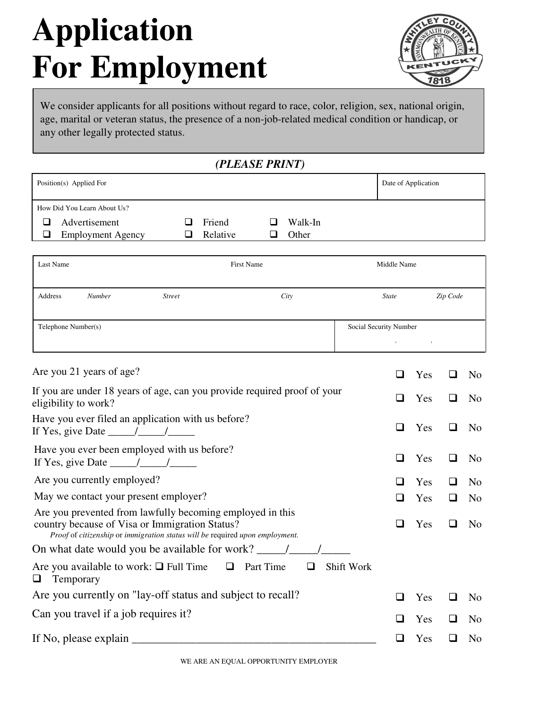# **Application For Employment**



We consider applicants for all positions without regard to race, color, religion, sex, national origin, age, marital or veteran status, the presence of a non-job-related medical condition or handicap, or any other legally protected status.

### *(PLEASE PRINT)*

| Position(s) Applied For     |          |         | Date of Application |
|-----------------------------|----------|---------|---------------------|
| How Did You Learn About Us? |          |         |                     |
| Advertisement               | Friend   | Walk-In |                     |
| <b>Employment Agency</b>    | Relative | Other   |                     |
|                             |          |         |                     |

| Last Name           |        |               | First Name | Middle Name            |          |
|---------------------|--------|---------------|------------|------------------------|----------|
| Address             | Number | <b>Street</b> | City       | <b>State</b>           | Zip Code |
| Telephone Number(s) |        |               |            | Social Security Number |          |

|        | Yes |     | N <sub>0</sub> |
|--------|-----|-----|----------------|
| $\Box$ | Yes | H   | N <sub>0</sub> |
| ப      | Yes | . . | N <sub>0</sub> |
| ப      | Yes |     | N <sub>0</sub> |
| l I    | Yes | - 1 | N <sub>0</sub> |
|        | Yes |     | N <sub>o</sub> |
|        | Yes |     | N <sub>0</sub> |
|        |     |     |                |
|        |     |     |                |
| l 1    | Yes |     | N <sub>0</sub> |
| l I    | Yes | ப   | N <sub>o</sub> |
|        | Yes |     | N <sub>0</sub> |
|        |     |     |                |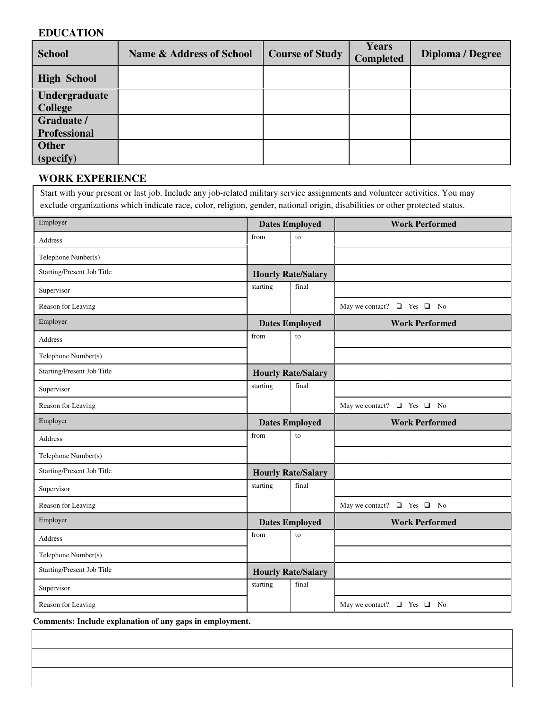#### **EDUCATION**

| <b>School</b>       | <b>Name &amp; Address of School</b> | <b>Course of Study</b> | <b>Years</b><br><b>Completed</b> | Diploma / Degree |
|---------------------|-------------------------------------|------------------------|----------------------------------|------------------|
| <b>High School</b>  |                                     |                        |                                  |                  |
| Undergraduate       |                                     |                        |                                  |                  |
| <b>College</b>      |                                     |                        |                                  |                  |
| Graduate /          |                                     |                        |                                  |                  |
| <b>Professional</b> |                                     |                        |                                  |                  |
| <b>Other</b>        |                                     |                        |                                  |                  |
| (specify)           |                                     |                        |                                  |                  |

## **WORK EXPERIENCE**

|                            |                           |                           | exclude organizations which indicate race, color, religion, gender, national origin, disabilities or other protected status. |
|----------------------------|---------------------------|---------------------------|------------------------------------------------------------------------------------------------------------------------------|
| Employer                   | <b>Dates Employed</b>     |                           | <b>Work Performed</b>                                                                                                        |
| <b>Address</b>             | from                      | to                        |                                                                                                                              |
| Telephone Nunber(s)        |                           |                           |                                                                                                                              |
| Starting/Present Job Title |                           | <b>Hourly Rate/Salary</b> |                                                                                                                              |
| Supervisor                 | starting                  | final                     |                                                                                                                              |
| Reason for Leaving         |                           |                           | May we contact? $\Box$ Yes $\Box$ No                                                                                         |
| Employer                   |                           | <b>Dates Employed</b>     | <b>Work Performed</b>                                                                                                        |
| <b>Address</b>             | from                      | to                        |                                                                                                                              |
| Telephone Number(s)        |                           |                           |                                                                                                                              |
| Starting/Present Job Title | <b>Hourly Rate/Salary</b> |                           |                                                                                                                              |
| Supervisor                 | starting                  | final                     |                                                                                                                              |
| Reason for Leaving         |                           |                           | May we contact? $\Box$ Yes $\Box$ No                                                                                         |
| Employer                   |                           | <b>Dates Employed</b>     | <b>Work Performed</b>                                                                                                        |
| Address                    | from                      | to                        |                                                                                                                              |
| Telephone Number(s)        |                           |                           |                                                                                                                              |
| Starting/Present Job Title |                           | <b>Hourly Rate/Salary</b> |                                                                                                                              |
| Supervisor                 | starting                  | final                     |                                                                                                                              |
| Reason for Leaving         |                           |                           | May we contact? $\Box$ Yes $\Box$ No                                                                                         |
| Employer                   | <b>Dates Employed</b>     |                           | <b>Work Performed</b>                                                                                                        |
| <b>Address</b>             | from                      | to                        |                                                                                                                              |
| Telephone Number(s)        |                           |                           |                                                                                                                              |
| Starting/Present Job Title | <b>Hourly Rate/Salary</b> |                           |                                                                                                                              |
|                            | starting                  | final                     |                                                                                                                              |
| Supervisor                 |                           |                           |                                                                                                                              |

**Comments: Include explanation of any gaps in employment.**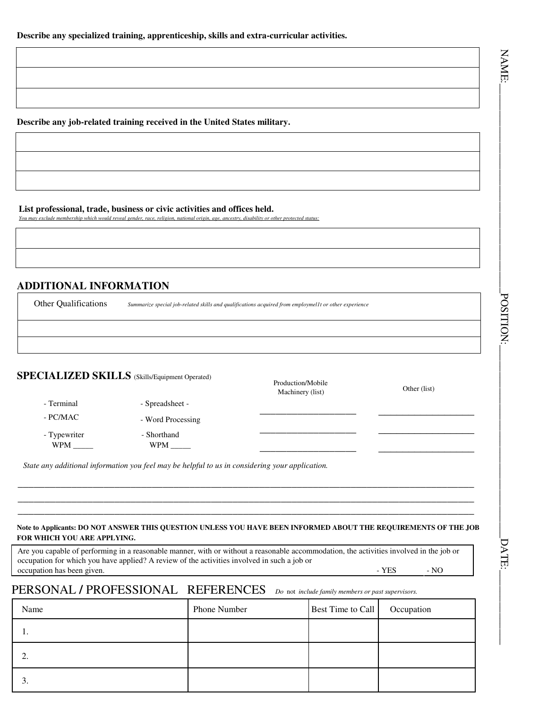NAME:

**Describe any job-related training received in the United States military.**

#### **List professional, trade, business or civic activities and offices held.**

*You may exclude membership which would reveal gender, race, religion, national origin, age, ancestry, disability or other protected status:*

#### **ADDITIONAL INFORMATION**

| <b>Other Qualifications</b><br>Summarize special job-related skills and qualifications acquired from employmel1t or other experience |                   |  |  |
|--------------------------------------------------------------------------------------------------------------------------------------|-------------------|--|--|
|                                                                                                                                      |                   |  |  |
| <b>SPECIALIZED SKILLS</b> (Skills/Equipment Operated)                                                                                | Production/Mobile |  |  |

| <b>SPECIALIZED SKILLS</b> (Skills/Equipment Operated) |  |
|-------------------------------------------------------|--|
|-------------------------------------------------------|--|

- Terminal - Spreadsheet -

- PC/MAC - Word Processing

- Typewriter - Shorthand - Shorthand - Shorthand - Shorthand - Shorthand - Shorthand - Shorthand - Shorthand - Shorthand - Shorthand - Shorthand - Shorthand - Shorthand - Shorthand - Shorthand - Shorthand - Shorthand - Sho

WPM \_\_\_\_\_ WPM \_\_\_\_\_ \_\_\_\_\_\_\_\_\_\_\_\_\_\_\_\_\_\_ \_\_\_\_\_\_\_\_\_\_\_\_\_\_\_\_ *State any additional information you feel may be helpful to us in considering your application.*

#### **Note to Applicants: DO NOT ANSWER THIS QUESTION UNLESS YOU HAVE BEEN INFORMED ABOUT THE REQUIREMENTS OF THE JOB FOR WHICH YOU ARE APPLYING.**

**\_\_\_\_\_\_\_\_\_\_\_\_\_\_\_\_\_\_\_\_\_\_\_\_\_\_\_\_\_\_\_\_\_\_\_\_\_\_\_\_\_\_\_\_\_\_\_\_\_\_\_\_\_\_\_\_\_\_\_\_\_\_\_\_\_\_\_\_\_\_\_\_\_\_\_\_\_\_\_\_\_\_\_\_\_ \_\_\_\_\_\_\_\_\_\_\_\_\_\_\_\_\_\_\_\_\_\_\_\_\_\_\_\_\_\_\_\_\_\_\_\_\_\_\_\_\_\_\_\_\_\_\_\_\_\_\_\_\_\_\_\_\_\_\_\_\_\_\_\_\_\_\_\_\_\_\_\_\_\_\_\_\_\_\_\_\_\_\_\_\_ \_\_\_\_\_\_\_\_\_\_\_\_\_\_\_\_\_\_\_\_\_\_\_\_\_\_\_\_\_\_\_\_\_\_\_\_\_\_\_\_\_\_\_\_\_\_\_\_\_\_\_\_\_\_\_\_\_\_\_\_\_\_\_\_\_\_\_\_\_\_\_\_\_\_\_\_\_\_\_\_\_\_\_\_\_**

Are you capable of performing in a reasonable manner, with or without a reasonable accommodation, the activities involved in the job or occupation for which you have applied? A review of the activities involved in such a job or occupation has been given. The set of the set of the set of the set of the set of the set of the set of the set of the set of the set of the set of the set of the set of the set of the set of the set of the set of the set

Machinery (list) Other (list)

\_\_\_\_\_\_\_\_\_\_\_\_\_\_\_\_\_\_ \_\_\_\_\_\_\_\_\_\_\_\_\_\_\_\_

# PERSONAL **/** PROFESSIONAL REFERENCES *Do* not *include family members or past supervisors.*

| Name            | Phone Number | Best Time to Call | Occupation |
|-----------------|--------------|-------------------|------------|
| . .             |              |                   |            |
| ۷.              |              |                   |            |
| $\mathfrak{I}.$ |              |                   |            |

 $\Delta_{\rm XEN}$ :  $\Delta_{\rm SIN}$  . The contract of  $\Delta_{\rm SIN}$  . The contract of  $\Delta_{\rm SIN}$  is the contract of  $\Delta_{\rm SIN}$  . POSITION:

DATE: